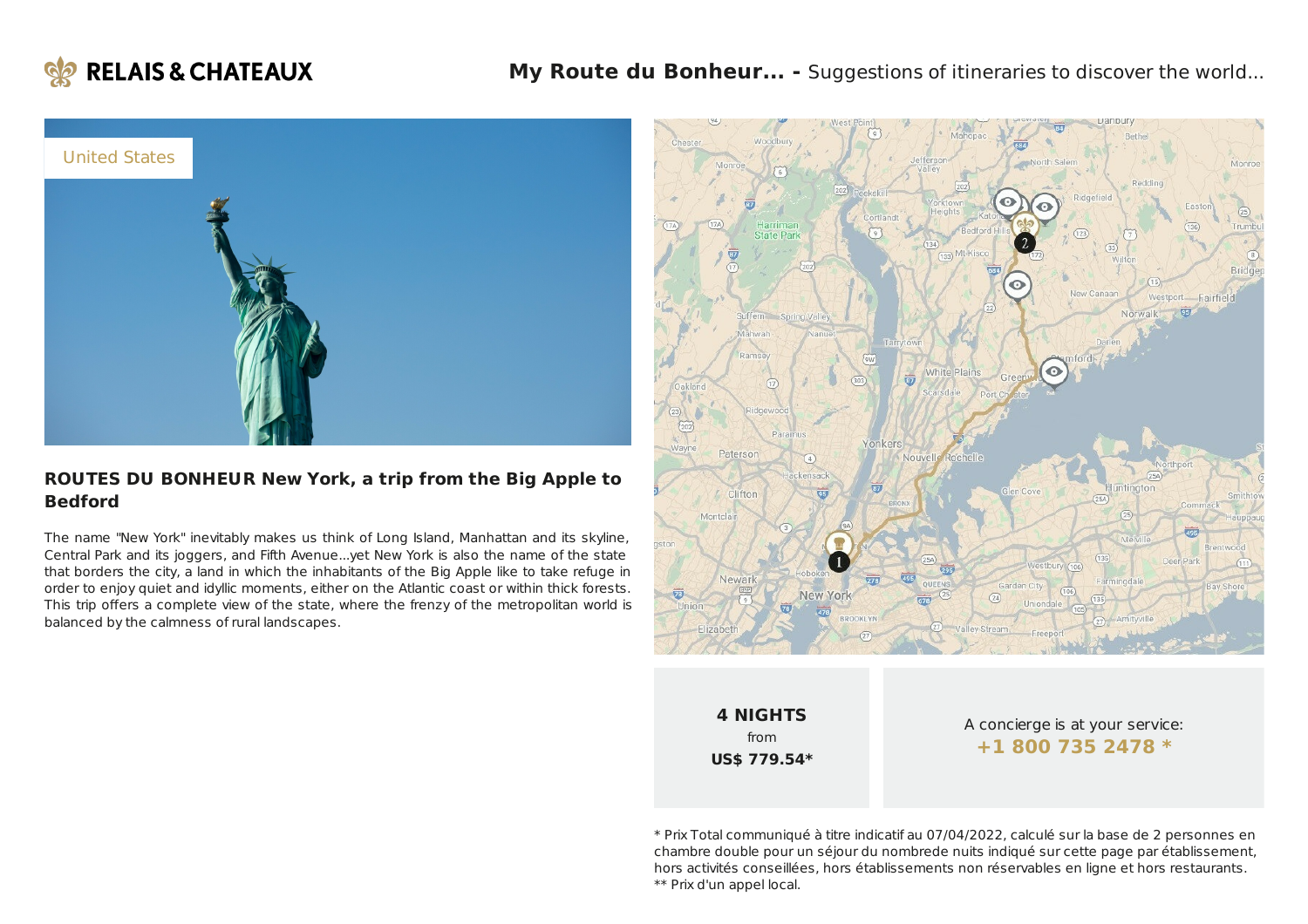



#### **ROUTES DU BONHEUR New York, a trip from the Big Apple to Bedford**

The name "New York" inevitably makes us think of Long Island, Manhattan and its skyline, Central Park and its joggers, and Fifth Avenue...yet New York is also the name of the state that borders the city, a land in which the inhabitants of the Big Apple like to take refuge in order to enjoy quiet and idyllic moments, either on the Atlantic coast or within thick forests. This trip offers a complete view of the state, where the frenzy of the metropolitan world is balanced by the calmness of rural landscapes.



\* Prix Total communiqué à titre indicatif au 07/04/2022, calculé sur la base de 2 personnes en chambre double pour un séjour du nombrede nuits indiqué sur cette page par établissement, hors activités conseillées, hors établissements non réservables en ligne et hors restaurants. \*\* Prix d'un appel local.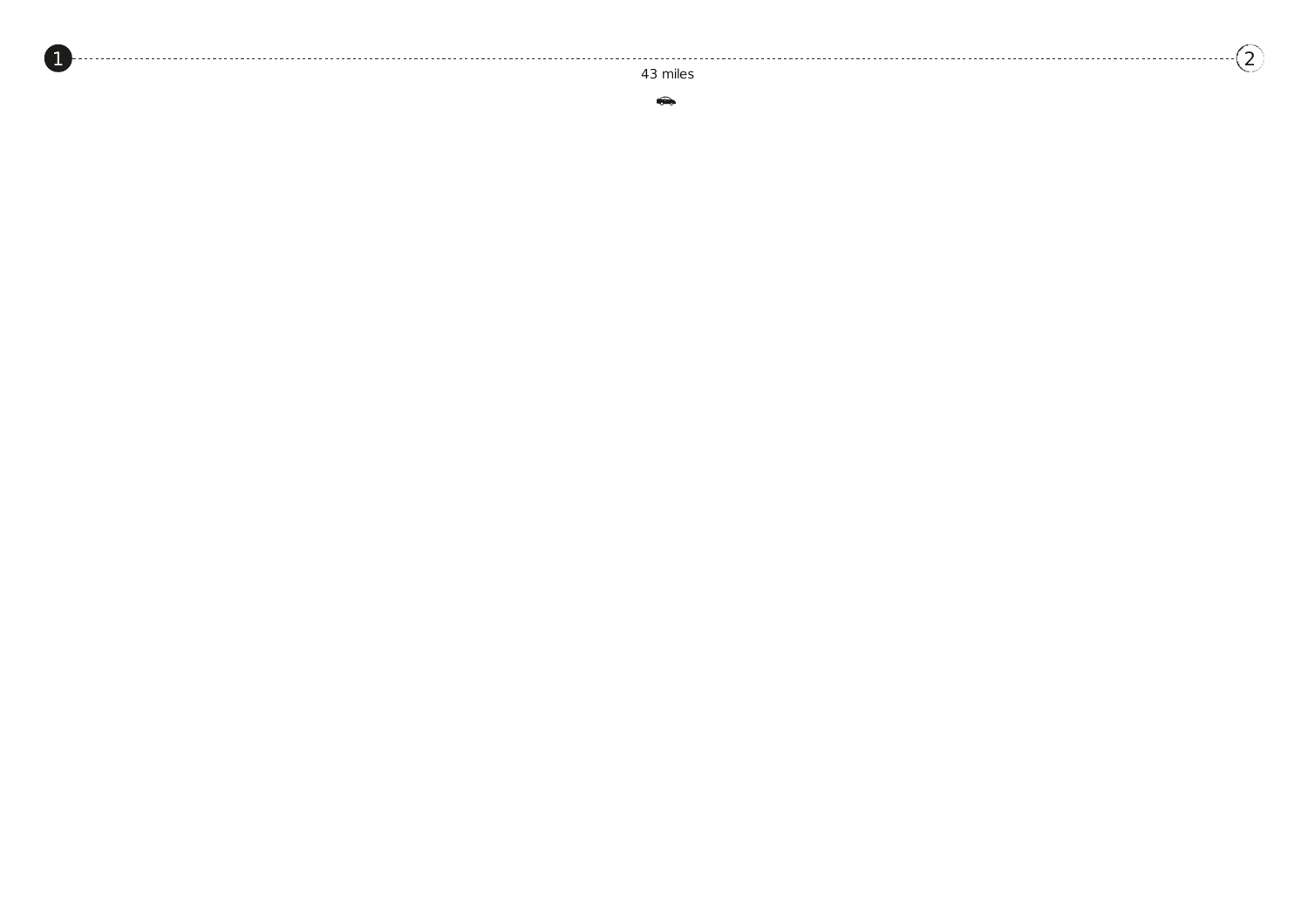4 3 mile s

 $\sqrt{2}$  $\sqrt{2}$  $\sqrt{2}$ 

 $\bigoplus$ 

<span id="page-1-0"></span>[1](#page-1-0)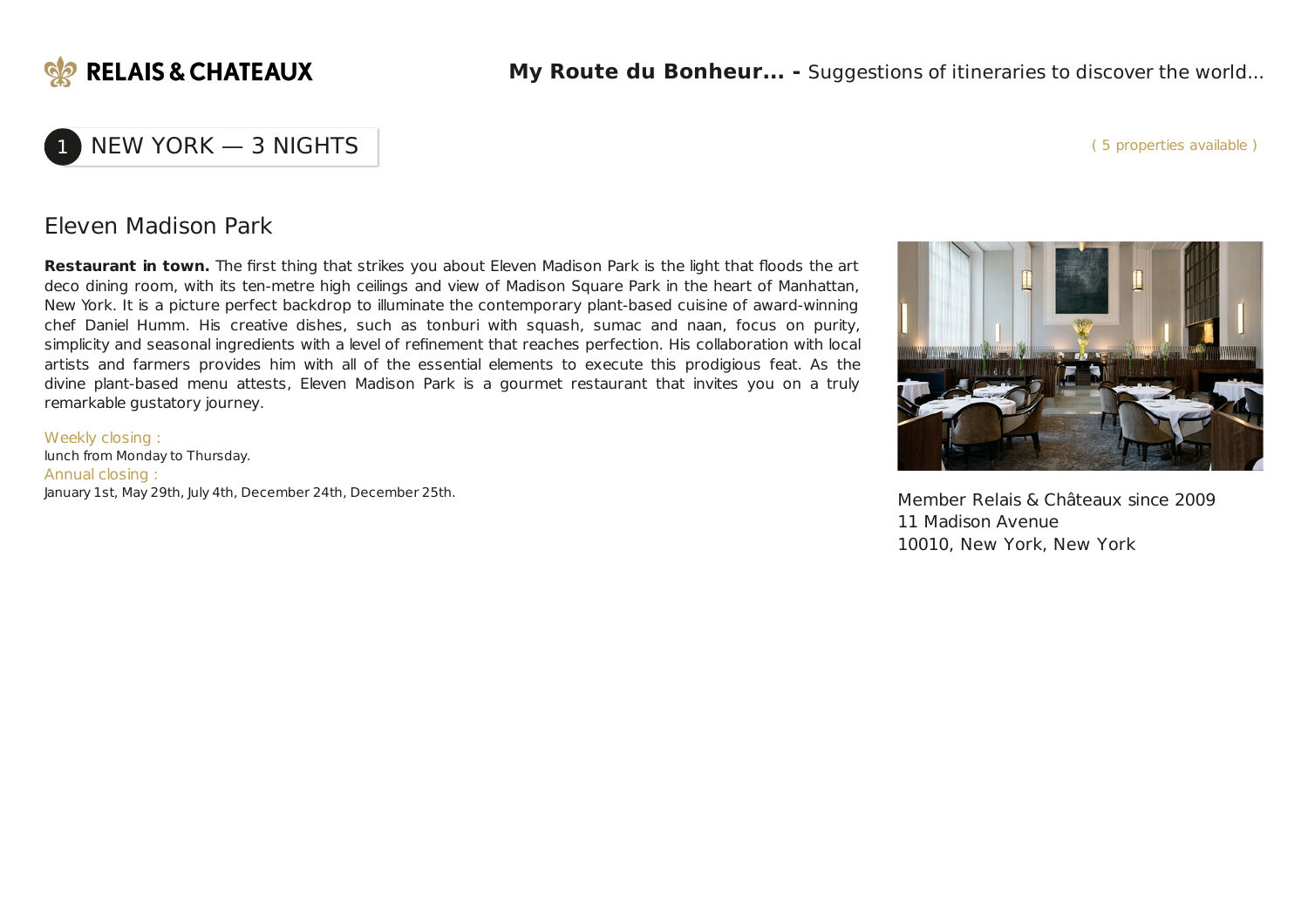

#### ( 5 properties available )

## NEW YORK — 3 NIGHTS

Eleven Madison Park

**Restaurant in town.** The first thing that strikes you about Eleven Madison Park is the light that floods the art deco dining room, with its ten-metre high ceilings and view of Madison Square Park in the heart of Manhattan, New York. It is a picture perfect backdrop to illuminate the contemporary plant-based cuisine of award-winning chef Daniel Humm. His creative dishes, such as tonburi with squash, sumac and naan, focus on purity, simplicity and seasonal ingredients with a level of refinement that reaches perfection. His collaboration with local artists and farmers provides him with all of the essential elements to execute this prodigious feat. As the divine plant-based menu attests, Eleven Madison Park is a gourmet restaurant that invites you on a truly remarkable gustatory journey.

Weekly closing : lunch from Monday to Thursday. Annual closing : January 1st, May 29th, July 4th, December 24th, December 25th. Member Relais & Châteaux since 2009



11 Madison Avenue 10010, New York, New York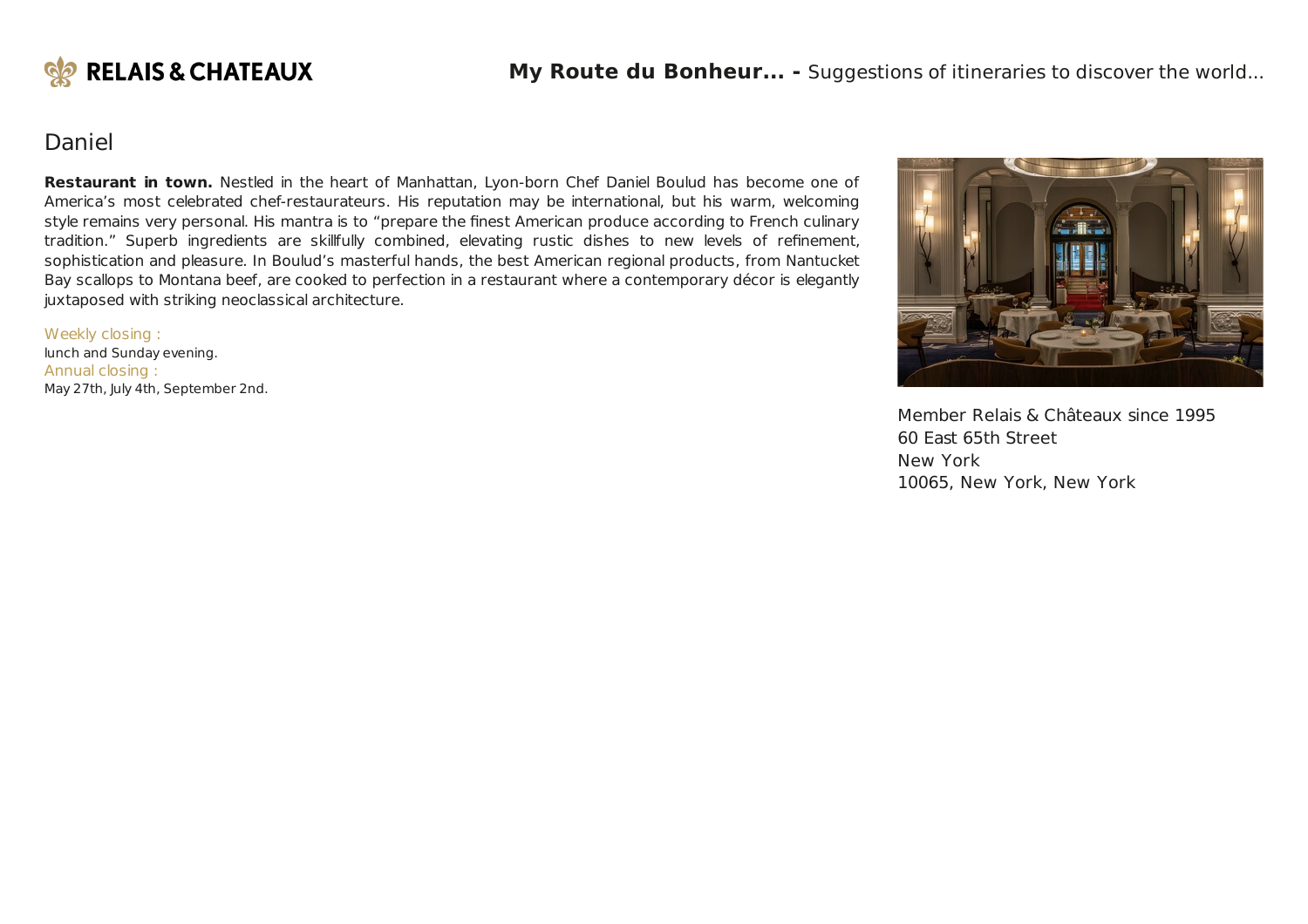

## Daniel

**Restaurant in town.** Nestled in the heart of Manhattan, Lyon-born Chef Daniel Boulud has become one of America's most celebrated chef-restaurateurs. His reputation may be international, but his warm, welcoming style remains very personal. His mantra is to "prepare the finest American produce according to French culinary tradition." Superb ingredients are skillfully combined, elevating rustic dishes to new levels of refinement, sophistication and pleasure. In Boulud's masterful hands, the best American regional products, from Nantucket Bay scallops to Montana beef, are cooked to perfection in a restaurant where a contemporary décor is elegantly juxtaposed with striking neoclassical architecture.

Weekly closing : lunch and Sunday evening. Annual closing : May 27th, July 4th, September 2nd.



Member Relais & Châteaux since 1995 60 East 65th Street New York 10065, New York, New York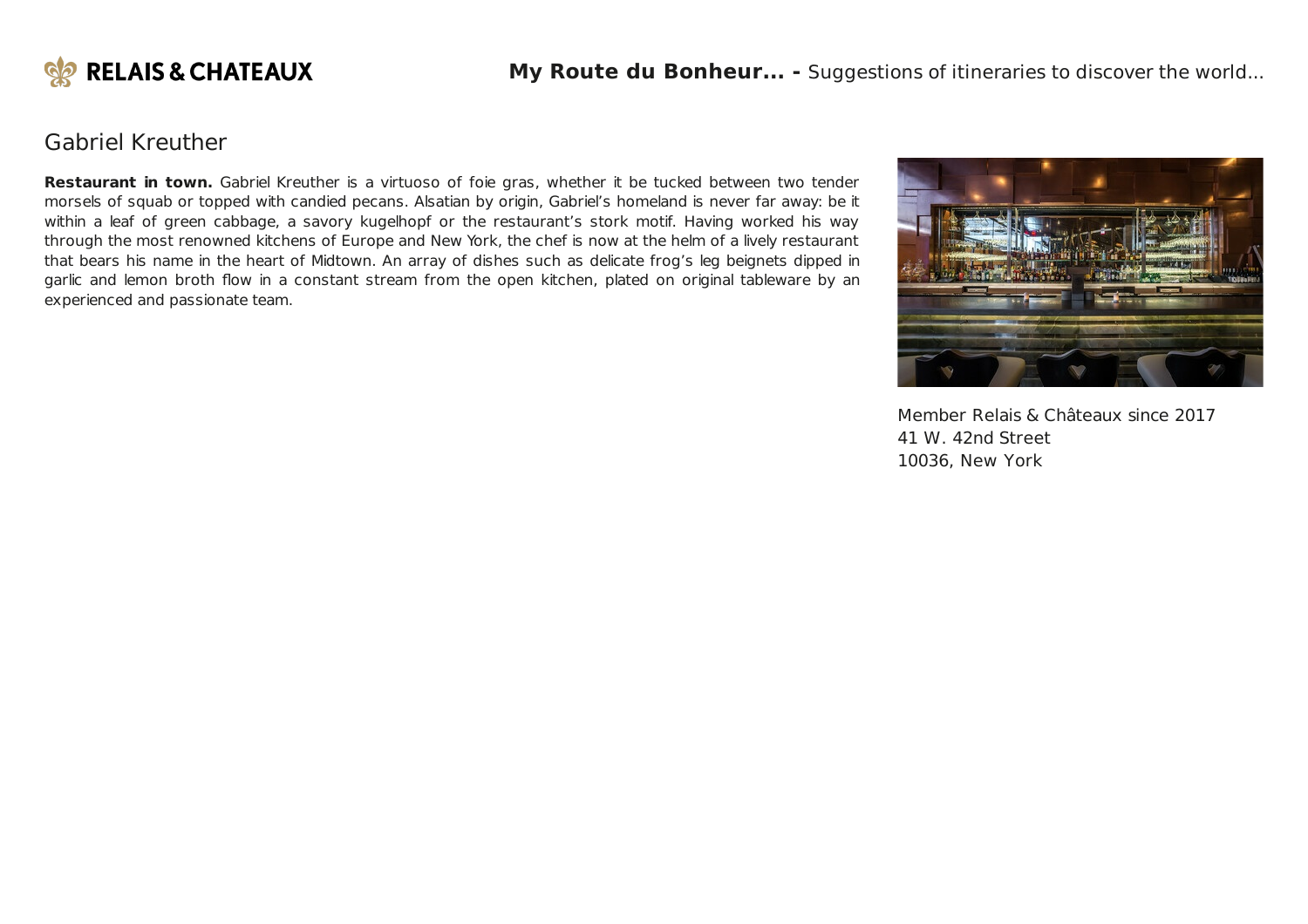

## Gabriel Kreuther

**Restaurant in town.** Gabriel Kreuther is a virtuoso of foie gras, whether it be tucked between two tender morsels of squab or topped with candied pecans. Alsatian by origin, Gabriel's homeland is never far away: be it within a leaf of green cabbage, a savory kugelhopf or the restaurant's stork motif. Having worked his way through the most renowned kitchens of Europe and New York, the chef is now at the helm of a lively restaurant that bears his name in the heart of Midtown. An array of dishes such as delicate frog's leg beignets dipped in garlic and lemon broth flow in a constant stream from the open kitchen, plated on original tableware by an experienced and passionate team.



Member Relais & Châteaux since 2017 41 W. 42nd Street 10036, New York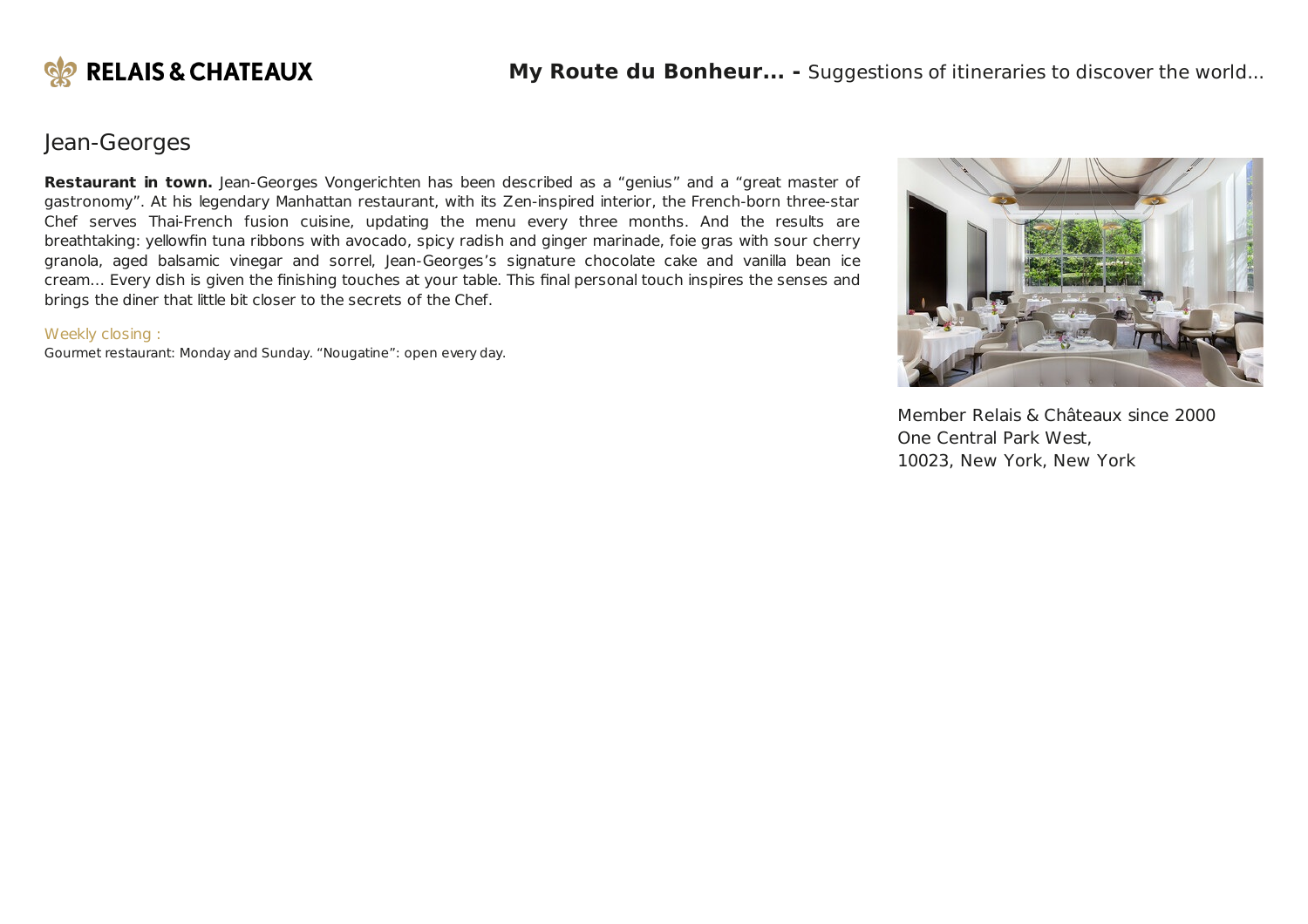

## Jean-Georges

**Restaurant in town.** Jean-Georges Vongerichten has been described as a "genius" and a "great master of gastronomy". At his legendary Manhattan restaurant, with its Zen-inspired interior, the French-born three-star Chef serves Thai-French fusion cuisine, updating the menu every three months. And the results are breathtaking: yellowfin tuna ribbons with avocado, spicy radish and ginger marinade, foie gras with sour cherry granola, aged balsamic vinegar and sorrel, Jean-Georges's signature chocolate cake and vanilla bean ice cream… Every dish is given the finishing touches at your table. This final personal touch inspires the senses and brings the diner that little bit closer to the secrets of the Chef.

#### Weekly closing :

Gourmet restaurant: Monday and Sunday. "Nougatine": open every day.



Member Relais & Châteaux since 2000 One Central Park West, 10023, New York, New York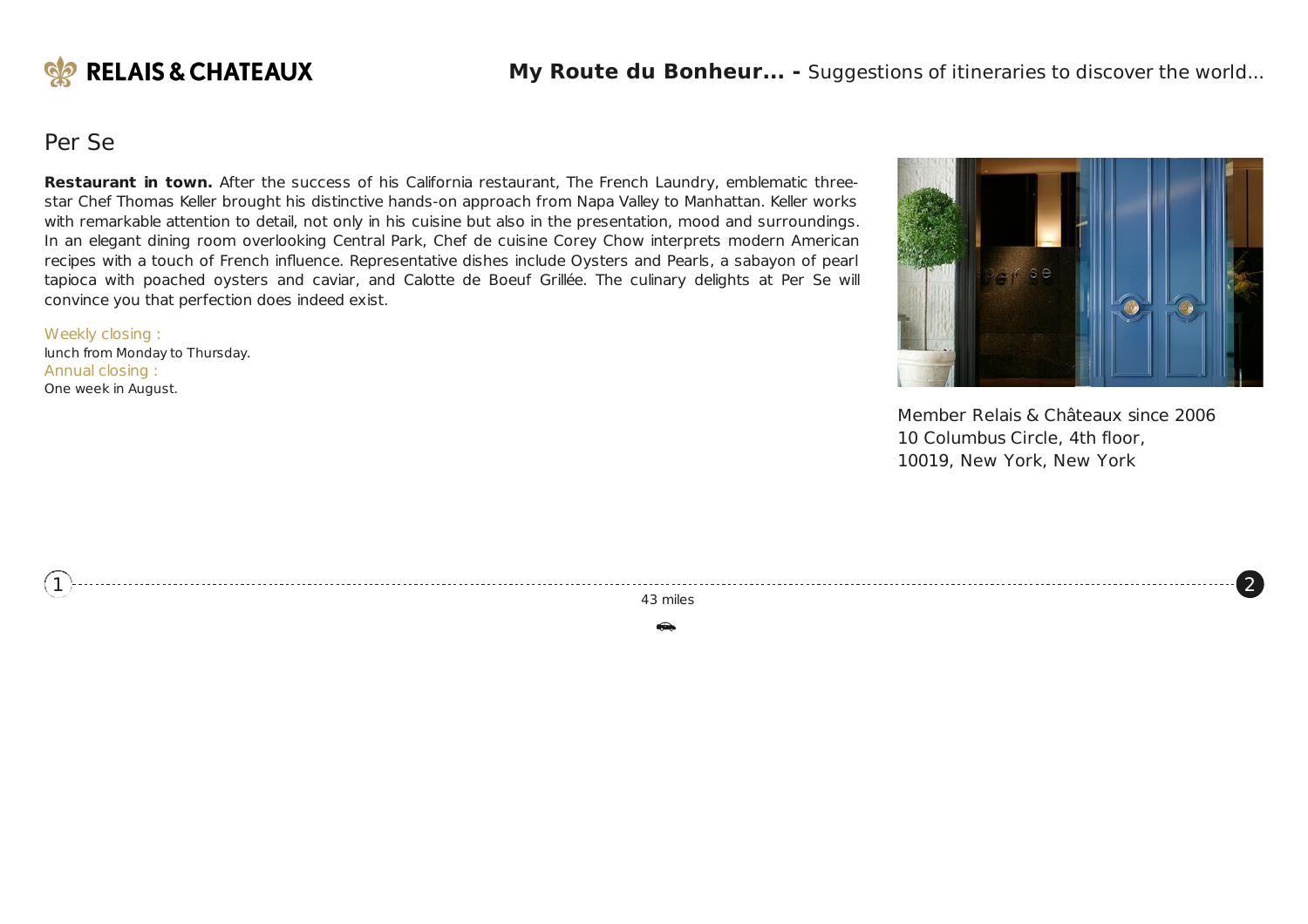

### Per Se

**Restaurant in town.** After the success of his California restaurant, The French Laundry, emblematic threestar Chef Thomas Keller brought his distinctive hands-on approach from Napa Valley to Manhattan. Keller works with remarkable attention to detail, not only in his cuisine but also in the presentation, mood and surroundings. In an elegant dining room overlooking Central Park, Chef de cuisine Corey Chow interprets modern American recipes with a touch of French influence. Representative dishes include Oysters and Pearls, a sabayon of pearl tapioca with poached oysters and caviar, and Calotte de Boeuf Grillée. The culinary delights at Per Se will convince you that perfection does indeed exist.

Weekly closing :

<span id="page-6-0"></span>[1](#page-1-0)

lunch from Monday to Thursday. Annual closing : One week in August.



Member Relais & Châteaux since 2006 10 Columbus Circle, 4th floor, 10019, New York, New York

 $\left( 2\right)$  $\left( 2\right)$  $\left( 2\right)$